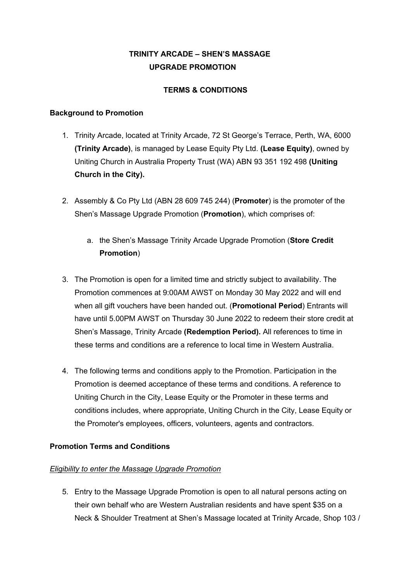# **TRINITY ARCADE – SHEN'S MASSAGE UPGRADE PROMOTION**

## **TERMS & CONDITIONS**

#### **Background to Promotion**

- 1. Trinity Arcade, located at Trinity Arcade, 72 St George's Terrace, Perth, WA, 6000 **(Trinity Arcade)**, is managed by Lease Equity Pty Ltd. **(Lease Equity)**, owned by Uniting Church in Australia Property Trust (WA) ABN 93 351 192 498 **(Uniting Church in the City).**
- 2. Assembly & Co Pty Ltd (ABN 28 609 745 244) (**Promoter**) is the promoter of the Shen's Massage Upgrade Promotion (**Promotion**), which comprises of:
	- a. the Shen's Massage Trinity Arcade Upgrade Promotion (**Store Credit Promotion**)
- 3. The Promotion is open for a limited time and strictly subject to availability. The Promotion commences at 9:00AM AWST on Monday 30 May 2022 and will end when all gift vouchers have been handed out. (**Promotional Period**) Entrants will have until 5.00PM AWST on Thursday 30 June 2022 to redeem their store credit at Shen's Massage, Trinity Arcade **(Redemption Period).** All references to time in these terms and conditions are a reference to local time in Western Australia.
- 4. The following terms and conditions apply to the Promotion. Participation in the Promotion is deemed acceptance of these terms and conditions. A reference to Uniting Church in the City, Lease Equity or the Promoter in these terms and conditions includes, where appropriate, Uniting Church in the City, Lease Equity or the Promoter's employees, officers, volunteers, agents and contractors.

# **Promotion Terms and Conditions**

# *Eligibility to enter the Massage Upgrade Promotion*

5. Entry to the Massage Upgrade Promotion is open to all natural persons acting on their own behalf who are Western Australian residents and have spent \$35 on a Neck & Shoulder Treatment at Shen's Massage located at Trinity Arcade, Shop 103 /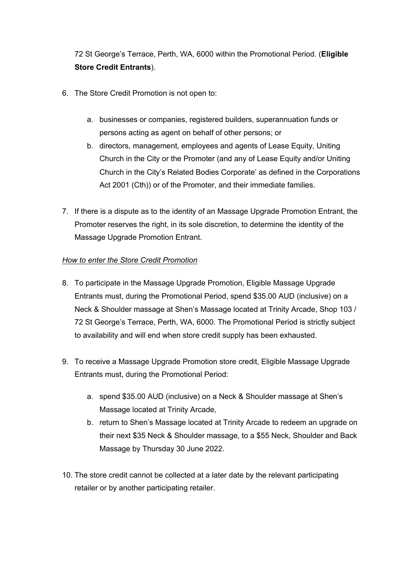72 St George's Terrace, Perth, WA, 6000 within the Promotional Period. (**Eligible Store Credit Entrants**).

- 6. The Store Credit Promotion is not open to:
	- a. businesses or companies, registered builders, superannuation funds or persons acting as agent on behalf of other persons; or
	- b. directors, management, employees and agents of Lease Equity, Uniting Church in the City or the Promoter (and any of Lease Equity and/or Uniting Church in the City's Related Bodies Corporate' as defined in the Corporations Act 2001 (Cth)) or of the Promoter, and their immediate families.
- 7. If there is a dispute as to the identity of an Massage Upgrade Promotion Entrant, the Promoter reserves the right, in its sole discretion, to determine the identity of the Massage Upgrade Promotion Entrant.

## *How to enter the Store Credit Promotion*

- 8. To participate in the Massage Upgrade Promotion, Eligible Massage Upgrade Entrants must, during the Promotional Period, spend \$35.00 AUD (inclusive) on a Neck & Shoulder massage at Shen's Massage located at Trinity Arcade, Shop 103 / 72 St George's Terrace, Perth, WA, 6000. The Promotional Period is strictly subject to availability and will end when store credit supply has been exhausted.
- 9. To receive a Massage Upgrade Promotion store credit, Eligible Massage Upgrade Entrants must, during the Promotional Period:
	- a. spend \$35.00 AUD (inclusive) on a Neck & Shoulder massage at Shen's Massage located at Trinity Arcade,
	- b. return to Shen's Massage located at Trinity Arcade to redeem an upgrade on their next \$35 Neck & Shoulder massage, to a \$55 Neck, Shoulder and Back Massage by Thursday 30 June 2022.
- 10. The store credit cannot be collected at a later date by the relevant participating retailer or by another participating retailer.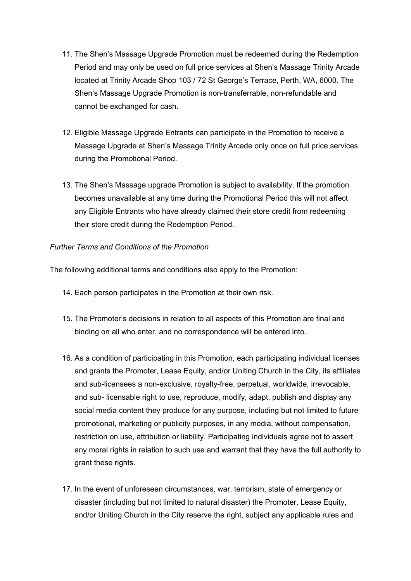- 11. The Shen's Massage Upgrade Promotion must be redeemed during the Redemption Period and may only be used on full price services at Shen's Massage Trinity Arcade located at Trinity Arcade Shop 103 / 72 St George's Terrace, Perth, WA, 6000. The Shen's Massage Upgrade Promotion is non-transferrable, non-refundable and cannot be exchanged for cash.
- 12. Eligible Massage Upgrade Entrants can participate in the Promotion to receive a Massage Upgrade at Shen's Massage Trinity Arcade only once on full price services during the Promotional Period.
- 13. The Shen's Massage upgrade Promotion is subject to availability. If the promotion becomes unavailable at any time during the Promotional Period this will not affect any Eligible Entrants who have already claimed their store credit from redeeming their store credit during the Redemption Period.

## *Further Terms and Conditions of the Promotion*

The following additional terms and conditions also apply to the Promotion:

- 14. Each person participates in the Promotion at their own risk.
- 15. The Promoter's decisions in relation to all aspects of this Promotion are final and binding on all who enter, and no correspondence will be entered into.
- 16. As a condition of participating in this Promotion, each participating individual licenses and grants the Promoter, Lease Equity, and/or Uniting Church in the City, its affiliates and sub-licensees a non-exclusive, royalty-free, perpetual, worldwide, irrevocable, and sub- licensable right to use, reproduce, modify, adapt, publish and display any social media content they produce for any purpose, including but not limited to future promotional, marketing or publicity purposes, in any media, without compensation, restriction on use, attribution or liability. Participating individuals agree not to assert any moral rights in relation to such use and warrant that they have the full authority to grant these rights.
- 17. In the event of unforeseen circumstances, war, terrorism, state of emergency or disaster (including but not limited to natural disaster) the Promoter, Lease Equity, and/or Uniting Church in the City reserve the right, subject any applicable rules and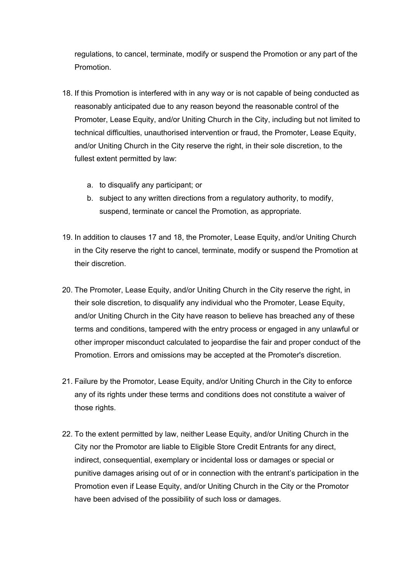regulations, to cancel, terminate, modify or suspend the Promotion or any part of the Promotion.

- 18. If this Promotion is interfered with in any way or is not capable of being conducted as reasonably anticipated due to any reason beyond the reasonable control of the Promoter, Lease Equity, and/or Uniting Church in the City, including but not limited to technical difficulties, unauthorised intervention or fraud, the Promoter, Lease Equity, and/or Uniting Church in the City reserve the right, in their sole discretion, to the fullest extent permitted by law:
	- a. to disqualify any participant; or
	- b. subject to any written directions from a regulatory authority, to modify, suspend, terminate or cancel the Promotion, as appropriate.
- 19. In addition to clauses 17 and 18, the Promoter, Lease Equity, and/or Uniting Church in the City reserve the right to cancel, terminate, modify or suspend the Promotion at their discretion.
- 20. The Promoter, Lease Equity, and/or Uniting Church in the City reserve the right, in their sole discretion, to disqualify any individual who the Promoter, Lease Equity, and/or Uniting Church in the City have reason to believe has breached any of these terms and conditions, tampered with the entry process or engaged in any unlawful or other improper misconduct calculated to jeopardise the fair and proper conduct of the Promotion. Errors and omissions may be accepted at the Promoter's discretion.
- 21. Failure by the Promotor, Lease Equity, and/or Uniting Church in the City to enforce any of its rights under these terms and conditions does not constitute a waiver of those rights.
- 22. To the extent permitted by law, neither Lease Equity, and/or Uniting Church in the City nor the Promotor are liable to Eligible Store Credit Entrants for any direct, indirect, consequential, exemplary or incidental loss or damages or special or punitive damages arising out of or in connection with the entrant's participation in the Promotion even if Lease Equity, and/or Uniting Church in the City or the Promotor have been advised of the possibility of such loss or damages.